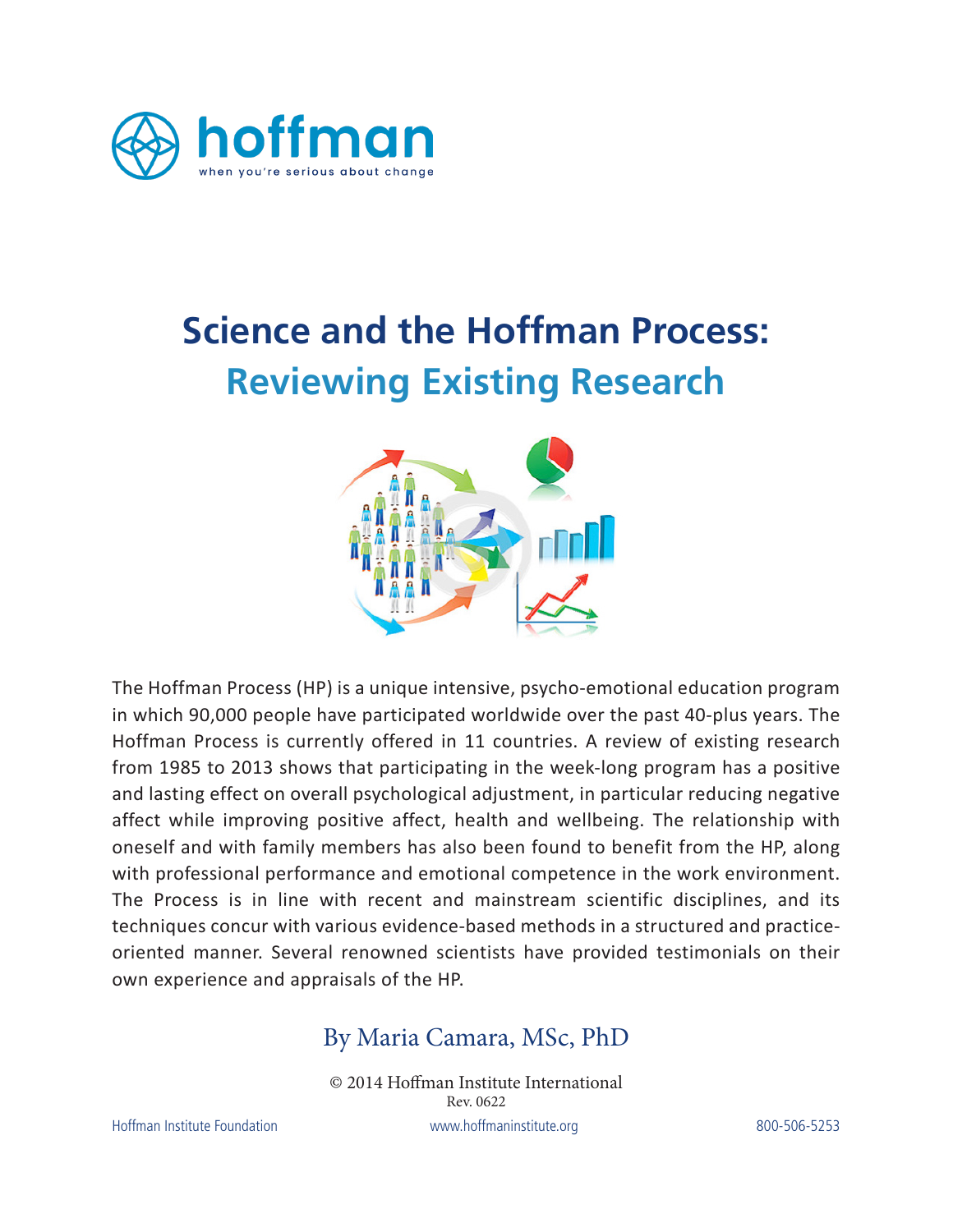

# **Science and the Hoffman Process: Reviewing Existing Research**



The Hoffman Process (HP) is a unique intensive, psycho-emotional education program in which 90,000 people have participated worldwide over the past 40-plus years. The Hoffman Process is currently offered in 11 countries. A review of existing research from 1985 to 2013 shows that participating in the week-long program has a positive and lasting effect on overall psychological adjustment, in particular reducing negative affect while improving positive affect, health and wellbeing. The relationship with oneself and with family members has also been found to benefit from the HP, along with professional performance and emotional competence in the work environment. The Process is in line with recent and mainstream scientific disciplines, and its techniques concur with various evidence-based methods in a structured and practiceoriented manner. Several renowned scientists have provided testimonials on their own experience and appraisals of the HP.

### By Maria Camara, MSc, PhD

© 2014 Hoffman Institute International Hoffman Institute Foundation www.hoffmaninstitute.org 800-506-5253 Rev. 0622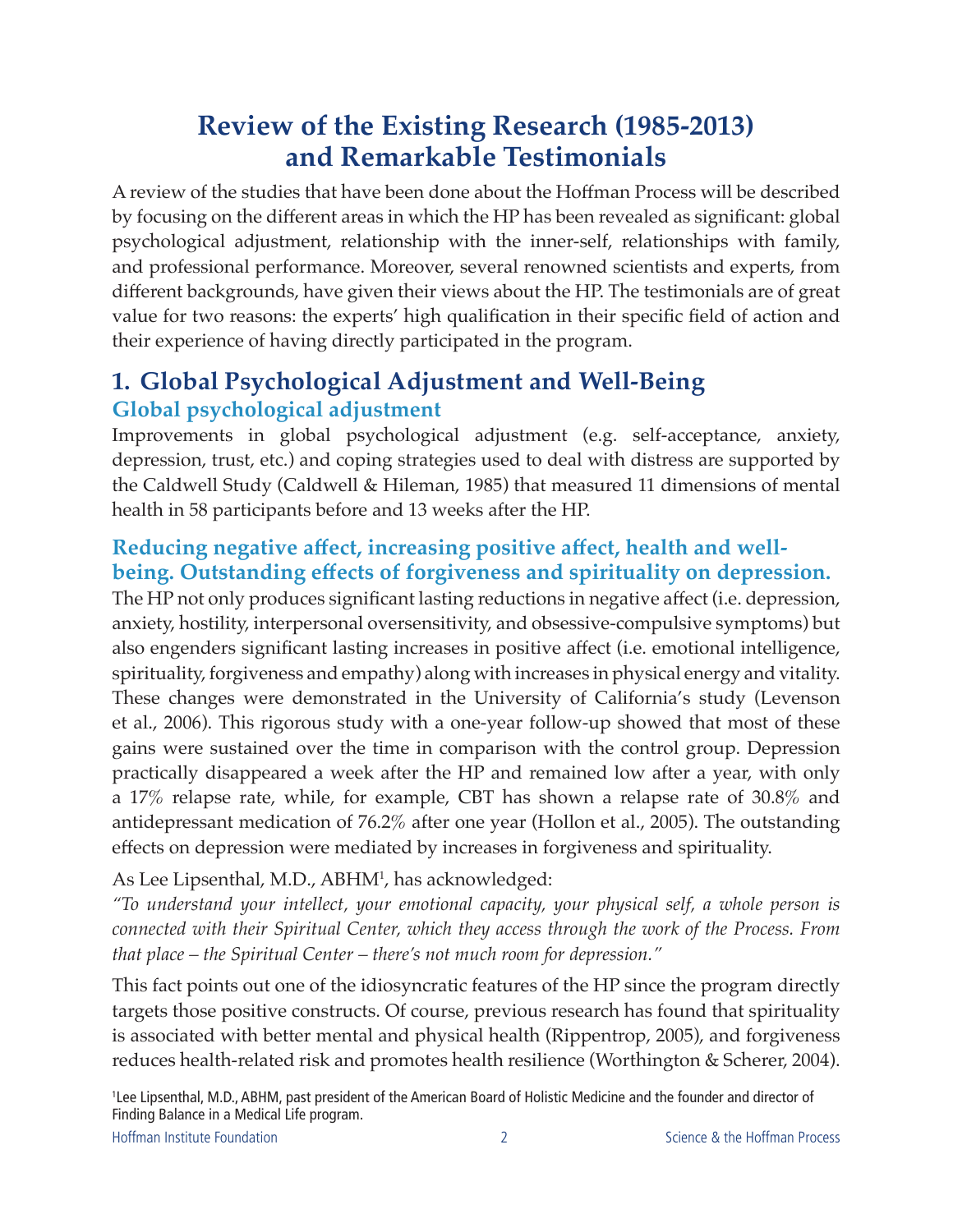# **Review of the Existing Research (1985-2013) and Remarkable Testimonials**

A review of the studies that have been done about the Hoffman Process will be described by focusing on the different areas in which the HP has been revealed as significant: global psychological adjustment, relationship with the inner-self, relationships with family, and professional performance. Moreover, several renowned scientists and experts, from different backgrounds, have given their views about the HP. The testimonials are of great value for two reasons: the experts' high qualification in their specific field of action and their experience of having directly participated in the program.

### **1. Global Psychological Adjustment and Well-Being Global psychological adjustment**

Improvements in global psychological adjustment (e.g. self-acceptance, anxiety, depression, trust, etc.) and coping strategies used to deal with distress are supported by the Caldwell Study (Caldwell & Hileman, 1985) that measured 11 dimensions of mental health in 58 participants before and 13 weeks after the HP.

#### **Reducing negative affect, increasing positive affect, health and wellbeing. Outstanding effects of forgiveness and spirituality on depression.**

The HP not only produces significant lasting reductions in negative affect (i.e. depression, anxiety, hostility, interpersonal oversensitivity, and obsessive-compulsive symptoms) but also engenders significant lasting increases in positive affect (i.e. emotional intelligence, spirituality, forgiveness and empathy) along with increases in physical energy and vitality. These changes were demonstrated in the University of California's study (Levenson et al., 2006). This rigorous study with a one-year follow-up showed that most of these gains were sustained over the time in comparison with the control group. Depression practically disappeared a week after the HP and remained low after a year, with only a 17% relapse rate, while, for example, CBT has shown a relapse rate of 30.8% and antidepressant medication of 76.2% after one year (Hollon et al., 2005). The outstanding effects on depression were mediated by increases in forgiveness and spirituality.

As Lee Lipsenthal, M.D., ABHM<sup>1</sup>, has acknowledged:

*"To understand your intellect, your emotional capacity, your physical self, a whole person is connected with their Spiritual Center, which they access through the work of the Process. From that place – the Spiritual Center – there's not much room for depression."*

This fact points out one of the idiosyncratic features of the HP since the program directly targets those positive constructs. Of course, previous research has found that spirituality is associated with better mental and physical health (Rippentrop, 2005), and forgiveness reduces health-related risk and promotes health resilience (Worthington & Scherer, 2004).

1 Lee Lipsenthal, M.D., ABHM, past president of the American Board of Holistic Medicine and the founder and director of Finding Balance in a Medical Life program.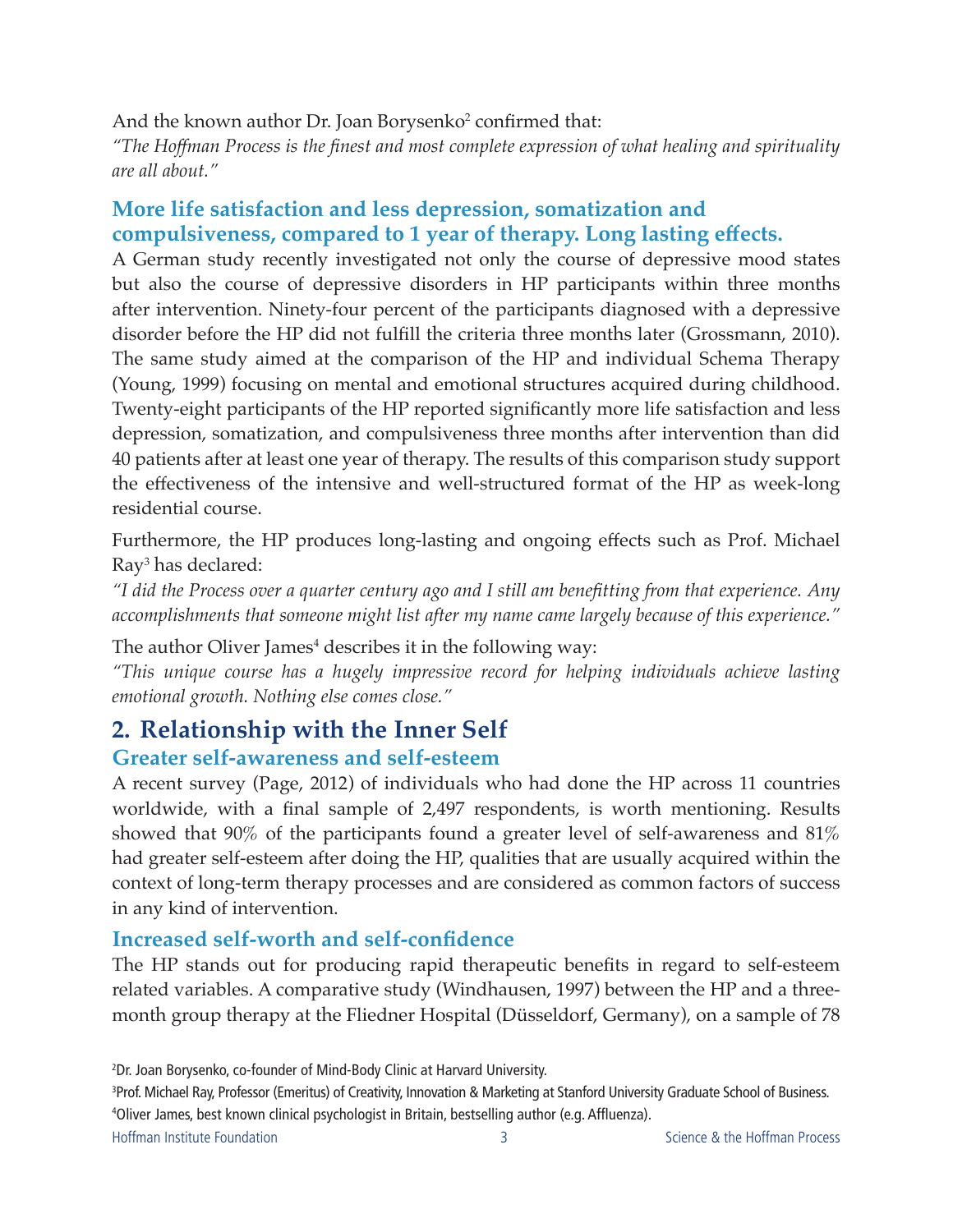#### And the known author Dr. Joan Borysenko<sup>2</sup> confirmed that:

*"The Hoffman Process is the finest and most complete expression of what healing and spirituality are all about."*

#### **More life satisfaction and less depression, somatization and compulsiveness, compared to 1 year of therapy. Long lasting effects.**

A German study recently investigated not only the course of depressive mood states but also the course of depressive disorders in HP participants within three months after intervention. Ninety-four percent of the participants diagnosed with a depressive disorder before the HP did not fulfill the criteria three months later (Grossmann, 2010). The same study aimed at the comparison of the HP and individual Schema Therapy (Young, 1999) focusing on mental and emotional structures acquired during childhood. Twenty-eight participants of the HP reported significantly more life satisfaction and less depression, somatization, and compulsiveness three months after intervention than did 40 patients after at least one year of therapy. The results of this comparison study support the effectiveness of the intensive and well-structured format of the HP as week-long residential course.

Furthermore, the HP produces long-lasting and ongoing effects such as Prof. Michael Ray3 has declared:

*"I did the Process over a quarter century ago and I still am benefitting from that experience. Any accomplishments that someone might list after my name came largely because of this experience."*

The author Oliver James<sup>4</sup> describes it in the following way:

*"This unique course has a hugely impressive record for helping individuals achieve lasting emotional growth. Nothing else comes close."*

# **2. Relationship with the Inner Self**

#### **Greater self-awareness and self-esteem**

A recent survey (Page, 2012) of individuals who had done the HP across 11 countries worldwide, with a final sample of 2,497 respondents, is worth mentioning. Results showed that 90% of the participants found a greater level of self-awareness and 81% had greater self-esteem after doing the HP, qualities that are usually acquired within the context of long-term therapy processes and are considered as common factors of success in any kind of intervention.

#### **Increased self-worth and self-confidence**

The HP stands out for producing rapid therapeutic benefits in regard to self-esteem related variables. A comparative study (Windhausen, 1997) between the HP and a threemonth group therapy at the Fliedner Hospital (Düsseldorf, Germany), on a sample of 78

<sup>2</sup> Dr. Joan Borysenko, co-founder of Mind-Body Clinic at Harvard University.

<sup>3</sup> Prof. Michael Ray, Professor (Emeritus) of Creativity, Innovation & Marketing at Stanford University Graduate School of Business. 4 Oliver James, best known clinical psychologist in Britain, bestselling author (e.g. Affluenza).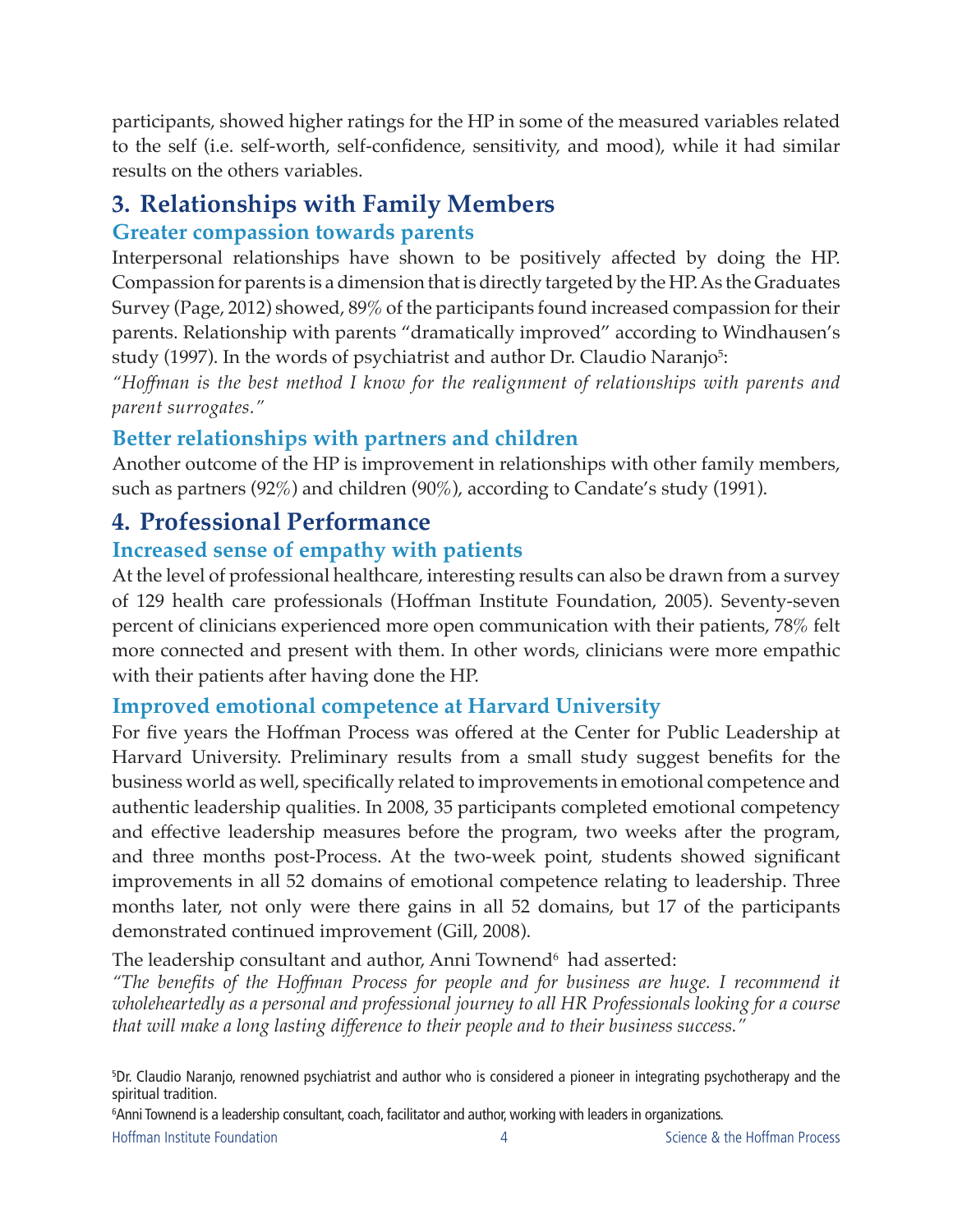participants, showed higher ratings for the HP in some of the measured variables related to the self (i.e. self-worth, self-confidence, sensitivity, and mood), while it had similar results on the others variables.

### **3. Relationships with Family Members Greater compassion towards parents**

Interpersonal relationships have shown to be positively affected by doing the HP. Compassion for parents is a dimension that is directly targeted by the HP. As the Graduates Survey (Page, 2012) showed, 89% of the participants found increased compassion for their parents. Relationship with parents "dramatically improved" according to Windhausen's study (1997). In the words of psychiatrist and author Dr. Claudio Naranjo<sup>5</sup>:

*"Hoffman is the best method I know for the realignment of relationships with parents and parent surrogates."*

#### **Better relationships with partners and children**

Another outcome of the HP is improvement in relationships with other family members, such as partners (92%) and children (90%), according to Candate's study (1991).

### **4. Professional Performance**

#### **Increased sense of empathy with patients**

At the level of professional healthcare, interesting results can also be drawn from a survey of 129 health care professionals (Hoffman Institute Foundation, 2005). Seventy-seven percent of clinicians experienced more open communication with their patients, 78% felt more connected and present with them. In other words, clinicians were more empathic with their patients after having done the HP.

#### **Improved emotional competence at Harvard University**

For five years the Hoffman Process was offered at the Center for Public Leadership at Harvard University. Preliminary results from a small study suggest benefits for the business world as well, specifically related to improvements in emotional competence and authentic leadership qualities. In 2008, 35 participants completed emotional competency and effective leadership measures before the program, two weeks after the program, and three months post-Process. At the two-week point, students showed significant improvements in all 52 domains of emotional competence relating to leadership. Three months later, not only were there gains in all 52 domains, but 17 of the participants demonstrated continued improvement (Gill, 2008).

The leadership consultant and author, Anni Townend $^{\rm 6}$  had asserted:

*"The benefits of the Hoffman Process for people and for business are huge. I recommend it wholeheartedly as a personal and professional journey to all HR Professionals looking for a course that will make a long lasting difference to their people and to their business success."*

6 Anni Townend is a leadership consultant, coach, facilitator and author, working with leaders in organizations.

<sup>5</sup> Dr. Claudio Naranjo, renowned psychiatrist and author who is considered a pioneer in integrating psychotherapy and the spiritual tradition.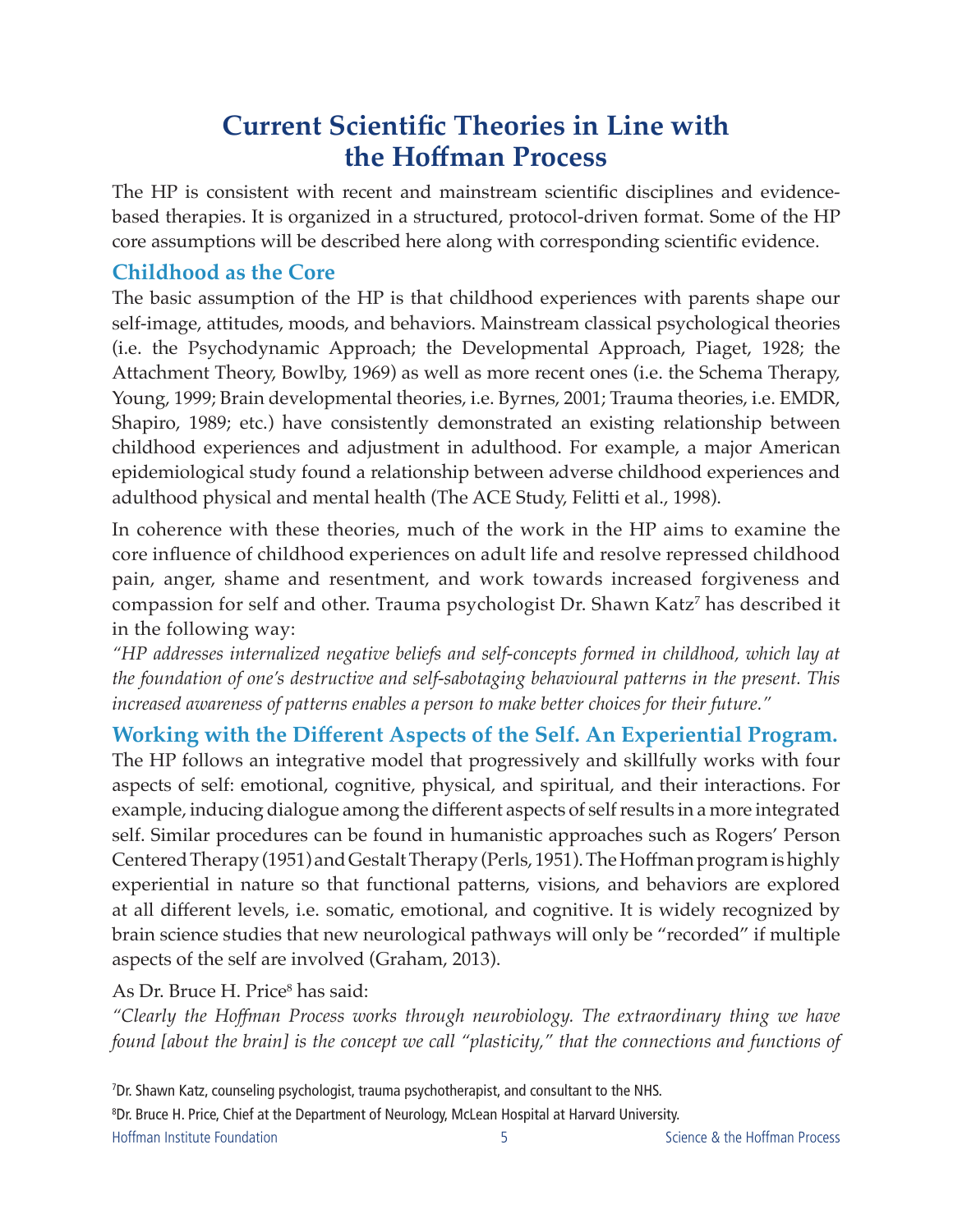# **Current Scientific Theories in Line with the Hoffman Process**

The HP is consistent with recent and mainstream scientific disciplines and evidencebased therapies. It is organized in a structured, protocol-driven format. Some of the HP core assumptions will be described here along with corresponding scientific evidence.

#### **Childhood as the Core**

The basic assumption of the HP is that childhood experiences with parents shape our self-image, attitudes, moods, and behaviors. Mainstream classical psychological theories (i.e. the Psychodynamic Approach; the Developmental Approach, Piaget, 1928; the Attachment Theory, Bowlby, 1969) as well as more recent ones (i.e. the Schema Therapy, Young, 1999; Brain developmental theories, i.e. Byrnes, 2001; Trauma theories, i.e. EMDR, Shapiro, 1989; etc.) have consistently demonstrated an existing relationship between childhood experiences and adjustment in adulthood. For example, a major American epidemiological study found a relationship between adverse childhood experiences and adulthood physical and mental health (The ACE Study, Felitti et al., 1998).

In coherence with these theories, much of the work in the HP aims to examine the core influence of childhood experiences on adult life and resolve repressed childhood pain, anger, shame and resentment, and work towards increased forgiveness and compassion for self and other. Trauma psychologist Dr. Shawn Katz<sup>7</sup> has described it in the following way:

*"HP addresses internalized negative beliefs and self-concepts formed in childhood, which lay at the foundation of one's destructive and self-sabotaging behavioural patterns in the present. This increased awareness of patterns enables a person to make better choices for their future."*

**Working with the Different Aspects of the Self. An Experiential Program.** The HP follows an integrative model that progressively and skillfully works with four aspects of self: emotional, cognitive, physical, and spiritual, and their interactions. For example, inducing dialogue among the different aspects of self results in a more integrated self. Similar procedures can be found in humanistic approaches such as Rogers' Person Centered Therapy (1951) and Gestalt Therapy (Perls, 1951). The Hoffman program is highly experiential in nature so that functional patterns, visions, and behaviors are explored at all different levels, i.e. somatic, emotional, and cognitive. It is widely recognized by brain science studies that new neurological pathways will only be "recorded" if multiple aspects of the self are involved (Graham, 2013).

As Dr. Bruce H. Price<sup>8</sup> has said:

*"Clearly the Hoffman Process works through neurobiology. The extraordinary thing we have found [about the brain] is the concept we call "plasticity," that the connections and functions of* 

Hoffman Institute Foundation and Science & the Hoffman Process **Science & the Hoffman Process** 7 Dr. Shawn Katz, counseling psychologist, trauma psychotherapist, and consultant to the NHS. 8 Dr. Bruce H. Price, Chief at the Department of Neurology, McLean Hospital at Harvard University.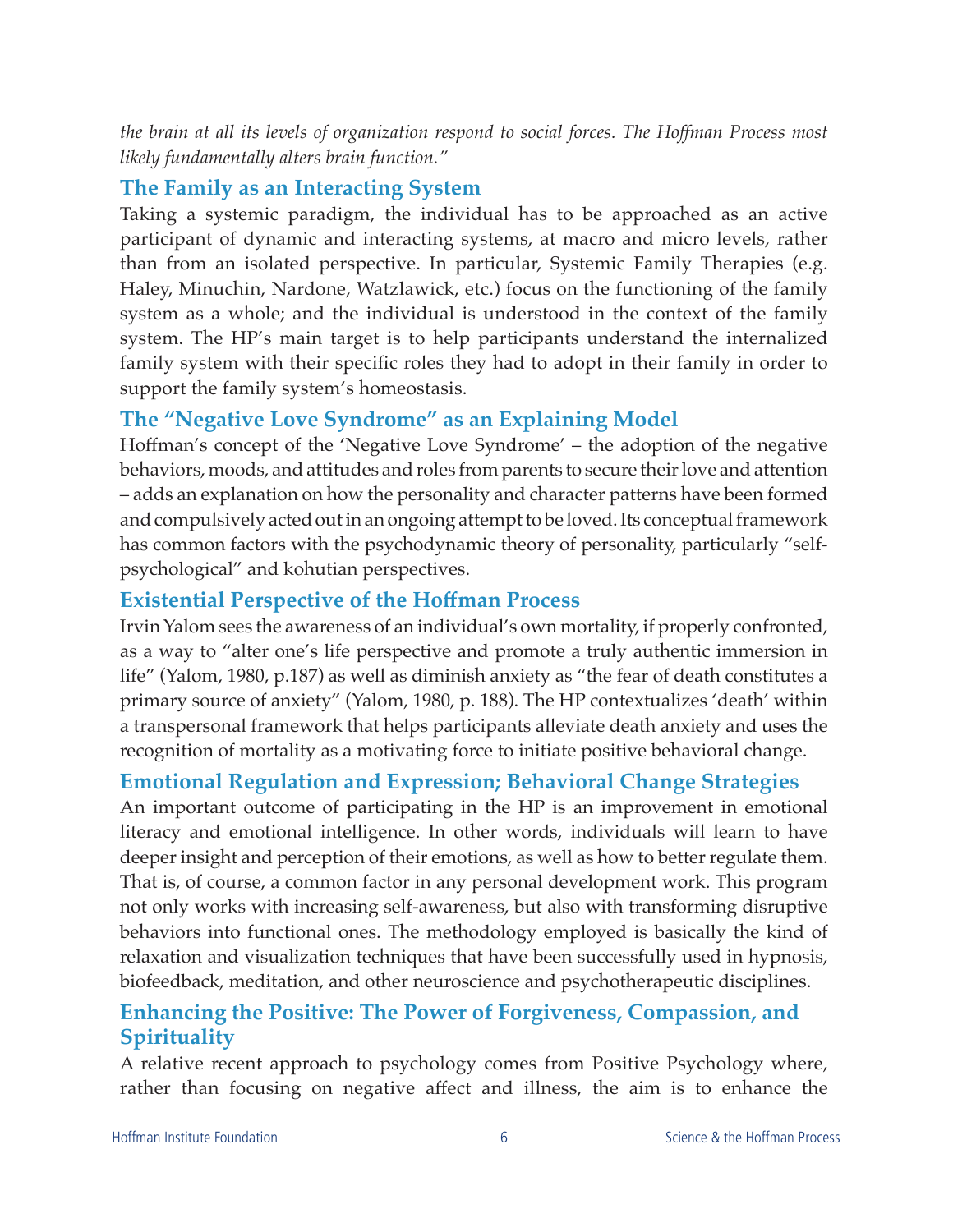*the brain at all its levels of organization respond to social forces. The Hoffman Process most likely fundamentally alters brain function."*

#### **The Family as an Interacting System**

Taking a systemic paradigm, the individual has to be approached as an active participant of dynamic and interacting systems, at macro and micro levels, rather than from an isolated perspective. In particular, Systemic Family Therapies (e.g. Haley, Minuchin, Nardone, Watzlawick, etc.) focus on the functioning of the family system as a whole; and the individual is understood in the context of the family system. The HP's main target is to help participants understand the internalized family system with their specific roles they had to adopt in their family in order to support the family system's homeostasis.

#### **The "Negative Love Syndrome" as an Explaining Model**

Hoffman's concept of the 'Negative Love Syndrome' – the adoption of the negative behaviors, moods, and attitudes and roles from parents to secure their love and attention – adds an explanation on how the personality and character patterns have been formed and compulsively acted out in an ongoing attempt to be loved. Its conceptual framework has common factors with the psychodynamic theory of personality, particularly "selfpsychological" and kohutian perspectives.

#### **Existential Perspective of the Hoffman Process**

Irvin Yalom sees the awareness of an individual's own mortality, if properly confronted, as a way to "alter one's life perspective and promote a truly authentic immersion in life" (Yalom, 1980, p.187) as well as diminish anxiety as "the fear of death constitutes a primary source of anxiety" (Yalom, 1980, p. 188). The HP contextualizes 'death' within a transpersonal framework that helps participants alleviate death anxiety and uses the recognition of mortality as a motivating force to initiate positive behavioral change.

#### **Emotional Regulation and Expression; Behavioral Change Strategies**

An important outcome of participating in the HP is an improvement in emotional literacy and emotional intelligence. In other words, individuals will learn to have deeper insight and perception of their emotions, as well as how to better regulate them. That is, of course, a common factor in any personal development work. This program not only works with increasing self-awareness, but also with transforming disruptive behaviors into functional ones. The methodology employed is basically the kind of relaxation and visualization techniques that have been successfully used in hypnosis, biofeedback, meditation, and other neuroscience and psychotherapeutic disciplines.

#### **Enhancing the Positive: The Power of Forgiveness, Compassion, and Spirituality**

A relative recent approach to psychology comes from Positive Psychology where, rather than focusing on negative affect and illness, the aim is to enhance the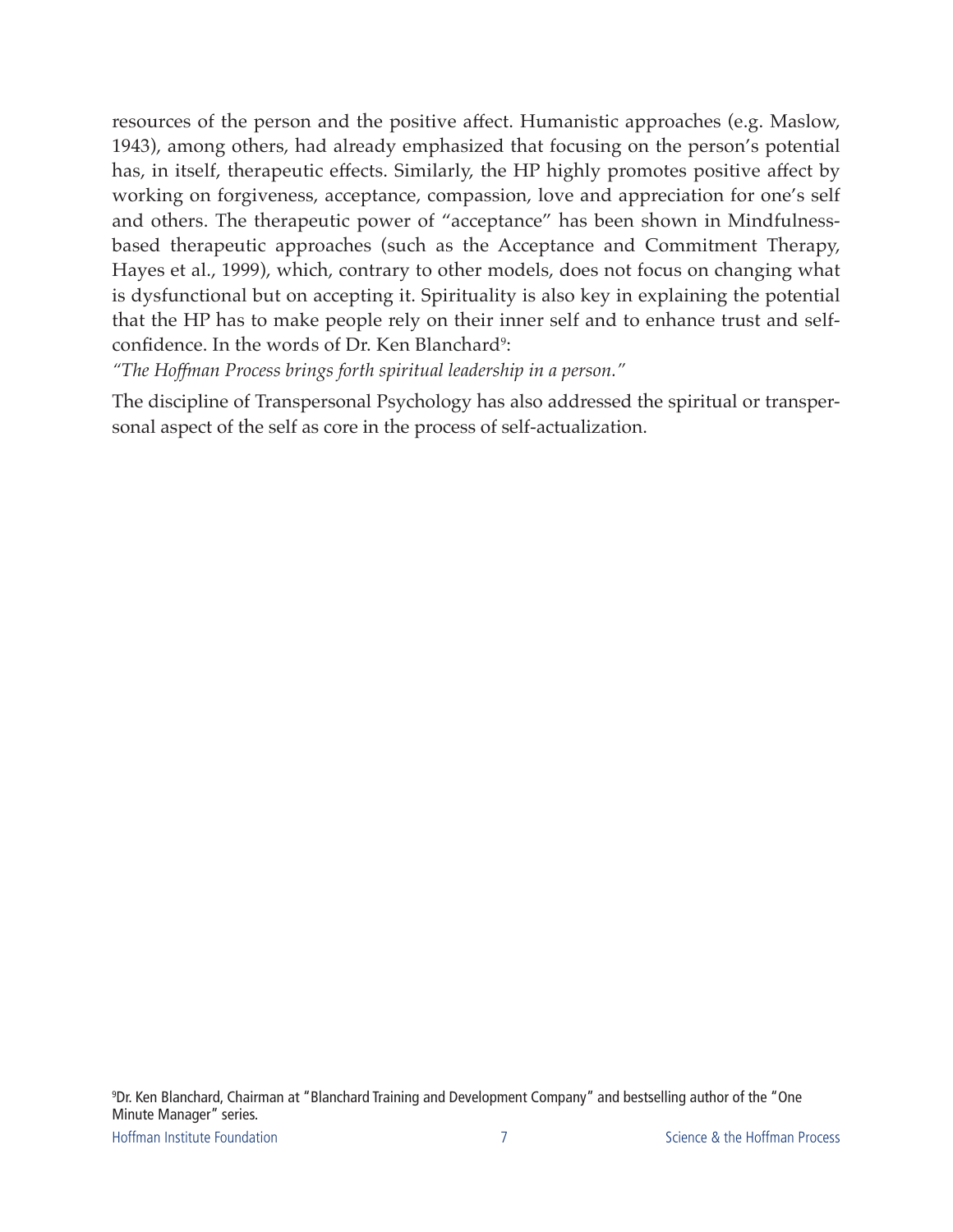resources of the person and the positive affect. Humanistic approaches (e.g. Maslow, 1943), among others, had already emphasized that focusing on the person's potential has, in itself, therapeutic effects. Similarly, the HP highly promotes positive affect by working on forgiveness, acceptance, compassion, love and appreciation for one's self and others. The therapeutic power of "acceptance" has been shown in Mindfulnessbased therapeutic approaches (such as the Acceptance and Commitment Therapy, Hayes et al., 1999), which, contrary to other models, does not focus on changing what is dysfunctional but on accepting it. Spirituality is also key in explaining the potential that the HP has to make people rely on their inner self and to enhance trust and selfconfidence. In the words of Dr. Ken Blanchard<sup>9</sup>:

*"The Hoffman Process brings forth spiritual leadership in a person."*

The discipline of Transpersonal Psychology has also addressed the spiritual or transpersonal aspect of the self as core in the process of self-actualization.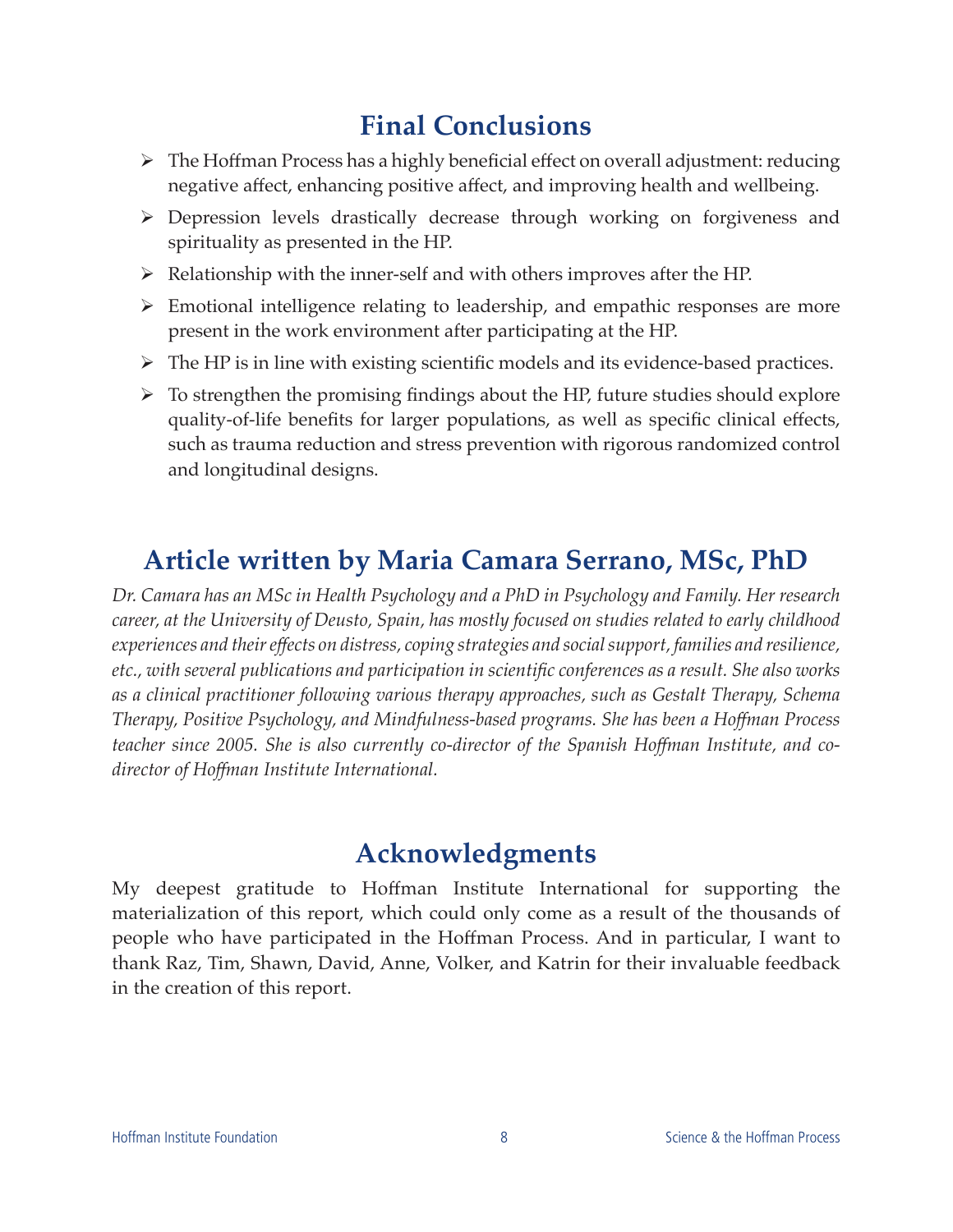# **Final Conclusions**

- ¾ The Hoffman Process has a highly beneficial effect on overall adjustment: reducing negative affect, enhancing positive affect, and improving health and wellbeing.
- ¾ Depression levels drastically decrease through working on forgiveness and spirituality as presented in the HP.
- $\triangleright$  Relationship with the inner-self and with others improves after the HP.
- ¾ Emotional intelligence relating to leadership, and empathic responses are more present in the work environment after participating at the HP.
- $\triangleright$  The HP is in line with existing scientific models and its evidence-based practices.
- $\triangleright$  To strengthen the promising findings about the HP, future studies should explore quality-of-life benefits for larger populations, as well as specific clinical effects, such as trauma reduction and stress prevention with rigorous randomized control and longitudinal designs.

# **Article written by Maria Camara Serrano, MSc, PhD**

*Dr. Camara has an MSc in Health Psychology and a PhD in Psychology and Family. Her research career, at the University of Deusto, Spain, has mostly focused on studies related to early childhood experiences and their effects on distress, coping strategies and social support, families and resilience, etc., with several publications and participation in scientific conferences as a result. She also works as a clinical practitioner following various therapy approaches, such as Gestalt Therapy, Schema Therapy, Positive Psychology, and Mindfulness-based programs. She has been a Hoffman Process teacher since 2005. She is also currently co-director of the Spanish Hoffman Institute, and codirector of Hoffman Institute International.*

# **Acknowledgments**

My deepest gratitude to Hoffman Institute International for supporting the materialization of this report, which could only come as a result of the thousands of people who have participated in the Hoffman Process. And in particular, I want to thank Raz, Tim, Shawn, David, Anne, Volker, and Katrin for their invaluable feedback in the creation of this report.